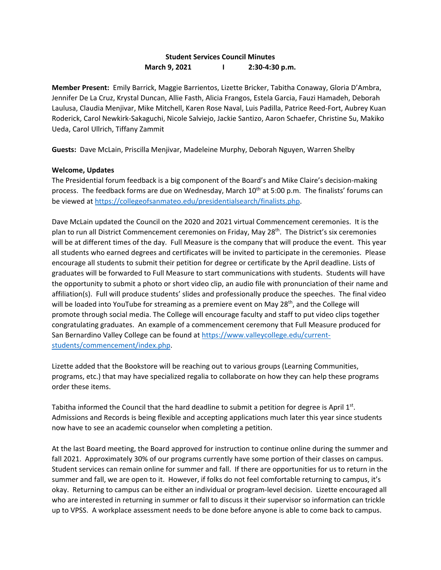## **Student Services Council Minutes March 9, 2021 I 2:30-4:30 p.m.**

**Member Present:** Emily Barrick, Maggie Barrientos, Lizette Bricker, Tabitha Conaway, Gloria D'Ambra, Jennifer De La Cruz, Krystal Duncan, Allie Fasth, Alicia Frangos, Estela Garcia, Fauzi Hamadeh, Deborah Laulusa, Claudia Menjivar, Mike Mitchell, Karen Rose Naval, Luis Padilla, Patrice Reed-Fort, Aubrey Kuan Roderick, Carol Newkirk-Sakaguchi, Nicole Salviejo, Jackie Santizo, Aaron Schaefer, Christine Su, Makiko Ueda, Carol Ullrich, Tiffany Zammit

**Guests:** Dave McLain, Priscilla Menjivar, Madeleine Murphy, Deborah Nguyen, Warren Shelby

## **Welcome, Updates**

The Presidential forum feedback is a big component of the Board's and Mike Claire's decision-making process. The feedback forms are due on Wednesday, March 10<sup>th</sup> at 5:00 p.m. The finalists' forums can be viewed a[t https://collegeofsanmateo.edu/presidentialsearch/finalists.php.](https://collegeofsanmateo.edu/presidentialsearch/finalists.php)

Dave McLain updated the Council on the 2020 and 2021 virtual Commencement ceremonies. It is the plan to run all District Commencement ceremonies on Friday, May 28<sup>th</sup>. The District's six ceremonies will be at different times of the day. Full Measure is the company that will produce the event. This year all students who earned degrees and certificates will be invited to participate in the ceremonies. Please encourage all students to submit their petition for degree or certificate by the April deadline. Lists of graduates will be forwarded to Full Measure to start communications with students. Students will have the opportunity to submit a photo or short video clip, an audio file with pronunciation of their name and affiliation(s). Full will produce students' slides and professionally produce the speeches. The final video will be loaded into YouTube for streaming as a premiere event on May 28<sup>th</sup>, and the College will promote through social media. The College will encourage faculty and staff to put video clips together congratulating graduates. An example of a commencement ceremony that Full Measure produced for San Bernardino Valley College can be found at [https://www.valleycollege.edu/current](https://www.valleycollege.edu/current-students/commencement/index.php)[students/commencement/index.php.](https://www.valleycollege.edu/current-students/commencement/index.php)

Lizette added that the Bookstore will be reaching out to various groups (Learning Communities, programs, etc.) that may have specialized regalia to collaborate on how they can help these programs order these items.

Tabitha informed the Council that the hard deadline to submit a petition for degree is April  $1<sup>st</sup>$ . Admissions and Records is being flexible and accepting applications much later this year since students now have to see an academic counselor when completing a petition.

At the last Board meeting, the Board approved for instruction to continue online during the summer and fall 2021. Approximately 30% of our programs currently have some portion of their classes on campus. Student services can remain online for summer and fall. If there are opportunities for us to return in the summer and fall, we are open to it. However, if folks do not feel comfortable returning to campus, it's okay. Returning to campus can be either an individual or program-level decision. Lizette encouraged all who are interested in returning in summer or fall to discuss it their supervisor so information can trickle up to VPSS. A workplace assessment needs to be done before anyone is able to come back to campus.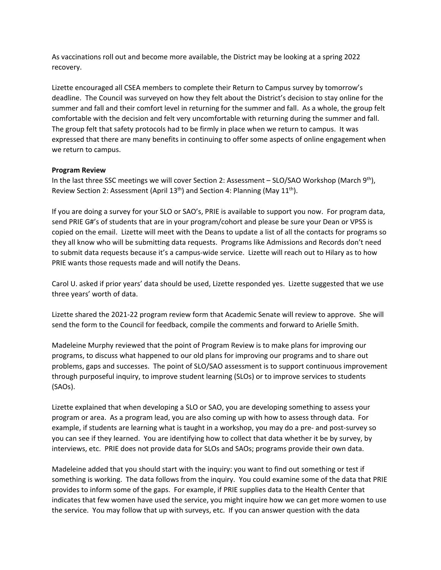As vaccinations roll out and become more available, the District may be looking at a spring 2022 recovery.

Lizette encouraged all CSEA members to complete their Return to Campus survey by tomorrow's deadline. The Council was surveyed on how they felt about the District's decision to stay online for the summer and fall and their comfort level in returning for the summer and fall. As a whole, the group felt comfortable with the decision and felt very uncomfortable with returning during the summer and fall. The group felt that safety protocols had to be firmly in place when we return to campus. It was expressed that there are many benefits in continuing to offer some aspects of online engagement when we return to campus.

## **Program Review**

In the last three SSC meetings we will cover Section 2: Assessment – SLO/SAO Workshop (March 9<sup>th</sup>), Review Section 2: Assessment (April 13<sup>th</sup>) and Section 4: Planning (May 11<sup>th</sup>).

If you are doing a survey for your SLO or SAO's, PRIE is available to support you now. For program data, send PRIE G#'s of students that are in your program/cohort and please be sure your Dean or VPSS is copied on the email. Lizette will meet with the Deans to update a list of all the contacts for programs so they all know who will be submitting data requests. Programs like Admissions and Records don't need to submit data requests because it's a campus-wide service. Lizette will reach out to Hilary as to how PRIE wants those requests made and will notify the Deans.

Carol U. asked if prior years' data should be used, Lizette responded yes. Lizette suggested that we use three years' worth of data.

Lizette shared the 2021-22 program review form that Academic Senate will review to approve. She will send the form to the Council for feedback, compile the comments and forward to Arielle Smith.

Madeleine Murphy reviewed that the point of Program Review is to make plans for improving our programs, to discuss what happened to our old plans for improving our programs and to share out problems, gaps and successes. The point of SLO/SAO assessment is to support continuous improvement through purposeful inquiry, to improve student learning (SLOs) or to improve services to students (SAOs).

Lizette explained that when developing a SLO or SAO, you are developing something to assess your program or area. As a program lead, you are also coming up with how to assess through data. For example, if students are learning what is taught in a workshop, you may do a pre- and post-survey so you can see if they learned. You are identifying how to collect that data whether it be by survey, by interviews, etc. PRIE does not provide data for SLOs and SAOs; programs provide their own data.

Madeleine added that you should start with the inquiry: you want to find out something or test if something is working. The data follows from the inquiry. You could examine some of the data that PRIE provides to inform some of the gaps. For example, if PRIE supplies data to the Health Center that indicates that few women have used the service, you might inquire how we can get more women to use the service. You may follow that up with surveys, etc. If you can answer question with the data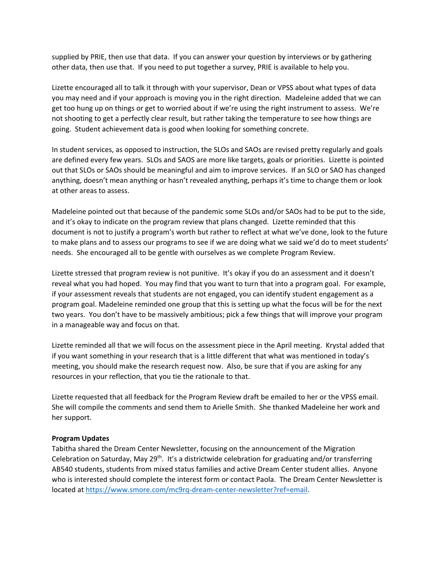supplied by PRIE, then use that data. If you can answer your question by interviews or by gathering other data, then use that. If you need to put together a survey, PRIE is available to help you.

Lizette encouraged all to talk it through with your supervisor, Dean or VPSS about what types of data you may need and if your approach is moving you in the right direction. Madeleine added that we can get too hung up on things or get to worried about if we're using the right instrument to assess. We're not shooting to get a perfectly clear result, but rather taking the temperature to see how things are going. Student achievement data is good when looking for something concrete.

In student services, as opposed to instruction, the SLOs and SAOs are revised pretty regularly and goals are defined every few years. SLOs and SAOS are more like targets, goals or priorities. Lizette is pointed out that SLOs or SAOs should be meaningful and aim to improve services. If an SLO or SAO has changed anything, doesn't mean anything or hasn't revealed anything, perhaps it's time to change them or look at other areas to assess.

Madeleine pointed out that because of the pandemic some SLOs and/or SAOs had to be put to the side, and it's okay to indicate on the program review that plans changed. Lizette reminded that this document is not to justify a program's worth but rather to reflect at what we've done, look to the future to make plans and to assess our programs to see if we are doing what we said we'd do to meet students' needs. She encouraged all to be gentle with ourselves as we complete Program Review.

Lizette stressed that program review is not punitive. It's okay if you do an assessment and it doesn't reveal what you had hoped. You may find that you want to turn that into a program goal. For example, if your assessment reveals that students are not engaged, you can identify student engagement as a program goal. Madeleine reminded one group that this is setting up what the focus will be for the next two years. You don't have to be massively ambitious; pick a few things that will improve your program in a manageable way and focus on that.

Lizette reminded all that we will focus on the assessment piece in the April meeting. Krystal added that if you want something in your research that is a little different that what was mentioned in today's meeting, you should make the research request now. Also, be sure that if you are asking for any resources in your reflection, that you tie the rationale to that.

Lizette requested that all feedback for the Program Review draft be emailed to her or the VPSS email. She will compile the comments and send them to Arielle Smith. She thanked Madeleine her work and her support.

## **Program Updates**

Tabitha shared the Dream Center Newsletter, focusing on the announcement of the Migration Celebration on Saturday, May 29<sup>th</sup>. It's a districtwide celebration for graduating and/or transferring AB540 students, students from mixed status families and active Dream Center student allies. Anyone who is interested should complete the interest form or contact Paola. The Dream Center Newsletter is located at [https://www.smore.com/mc9rq-dream-center-newsletter?ref=email.](https://www.smore.com/mc9rq-dream-center-newsletter?ref=email)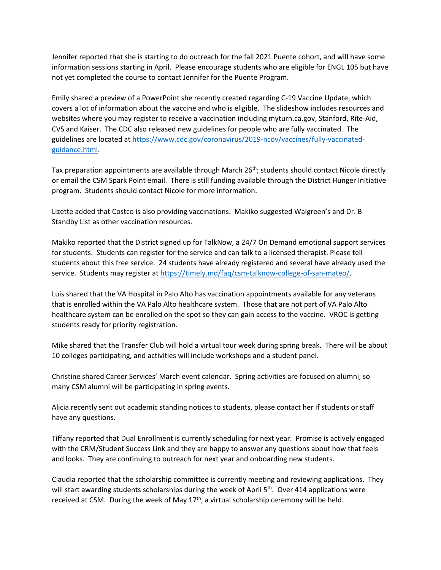Jennifer reported that she is starting to do outreach for the fall 2021 Puente cohort, and will have some information sessions starting in April. Please encourage students who are eligible for ENGL 105 but have not yet completed the course to contact Jennifer for the Puente Program.

Emily shared a preview of a PowerPoint she recently created regarding C-19 Vaccine Update, which covers a lot of information about the vaccine and who is eligible. The slideshow includes resources and websites where you may register to receive a vaccination including myturn.ca.gov, Stanford, Rite-Aid, CVS and Kaiser. The CDC also released new guidelines for people who are fully vaccinated. The guidelines are located at [https://www.cdc.gov/coronavirus/2019-ncov/vaccines/fully-vaccinated](https://www.cdc.gov/coronavirus/2019-ncov/vaccines/fully-vaccinated-guidance.html)[guidance.html.](https://www.cdc.gov/coronavirus/2019-ncov/vaccines/fully-vaccinated-guidance.html)

Tax preparation appointments are available through March 26<sup>th</sup>; students should contact Nicole directly or email the CSM Spark Point email. There is still funding available through the District Hunger Initiative program. Students should contact Nicole for more information.

Lizette added that Costco is also providing vaccinations. Makiko suggested Walgreen's and Dr. B Standby List as other vaccination resources.

Makiko reported that the District signed up for TalkNow, a 24/7 On Demand emotional support services for students. Students can register for the service and can talk to a licensed therapist. Please tell students about this free service. 24 students have already registered and several have already used the service. Students may register at [https://timely.md/faq/csm-talknow-college-of-san-mateo/.](https://timely.md/faq/csm-talknow-college-of-san-mateo/)

Luis shared that the VA Hospital in Palo Alto has vaccination appointments available for any veterans that is enrolled within the VA Palo Alto healthcare system. Those that are not part of VA Palo Alto healthcare system can be enrolled on the spot so they can gain access to the vaccine. VROC is getting students ready for priority registration.

Mike shared that the Transfer Club will hold a virtual tour week during spring break. There will be about 10 colleges participating, and activities will include workshops and a student panel.

Christine shared Career Services' March event calendar. Spring activities are focused on alumni, so many CSM alumni will be participating in spring events.

Alicia recently sent out academic standing notices to students, please contact her if students or staff have any questions.

Tiffany reported that Dual Enrollment is currently scheduling for next year. Promise is actively engaged with the CRM/Student Success Link and they are happy to answer any questions about how that feels and looks. They are continuing to outreach for next year and onboarding new students.

Claudia reported that the scholarship committee is currently meeting and reviewing applications. They will start awarding students scholarships during the week of April 5<sup>th</sup>. Over 414 applications were received at CSM. During the week of May  $17<sup>th</sup>$ , a virtual scholarship ceremony will be held.